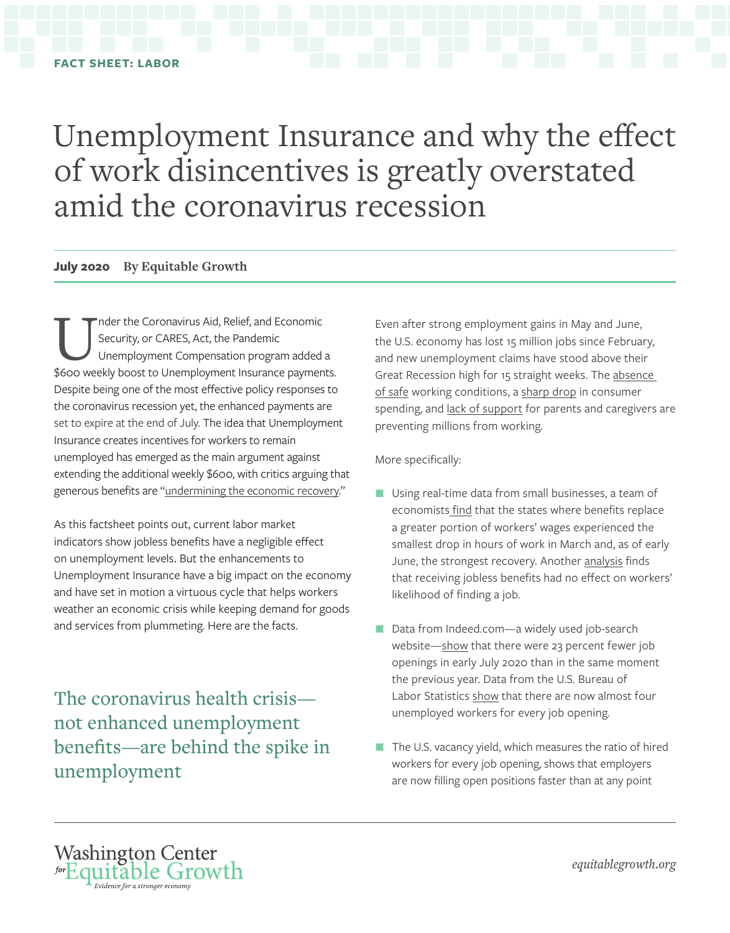# Unemployment Insurance and why the effect of work disincentives is greatly overstated amid the coronavirus recession

#### **July 2020 By Equitable Growth**

The Coronavirus Aid, Relief, and Economic<br>Security, or CARES, Act, the Pandemic<br>Themployment Compensation program added Security, or CARES, Act, the Pandemic Unemployment Compensation program added a \$600 weekly boost to Unemployment Insurance payments. Despite being one of the most effective policy responses to the coronavirus recession yet, the enhanced payments are set to expire at the end of July. The idea that Unemployment Insurance creates incentives for workers to remain unemployed has emerged as the main argument against extending the additional weekly \$600, with critics arguing that generous benefits are "[undermining the economic recovery.](https://www.wsj.com/articles/paying-americans-not-to-work-11587597150)"

As this factsheet points out, current labor market indicators show jobless benefits have a negligible effect on unemployment levels. But the enhancements to Unemployment Insurance have a big impact on the economy and have set in motion a virtuous cycle that helps workers weather an economic crisis while keeping demand for goods and services from plummeting. Here are the facts.

The coronavirus health crisis not enhanced unemployment benefits—are behind the spike in unemployment

Even after strong employment gains in May and June, the U.S. economy has lost 15 million jobs since February, and new unemployment claims have stood above their Great Recession high for 15 straight weeks. The [absence](https://www.americanprogress.org/issues/economy/news/2020/06/11/486146/protecting-worker-safety-economic-security-covid-19-reopening/) of safe working conditions, a [sharp drop](https://opportunityinsights.org/wp-content/uploads/2020/05/tracker_paper.pdf) in consumer spending, and [lack of support](https://www.nytimes.com/2020/07/10/nyregion/nyc-school-daycare-reopening.html) for parents and caregivers are preventing millions from working.

More specifically:

- Using real-time data from small businesses, a team of economist[s find](https://www.brookings.edu/wp-content/uploads/2020/06/Bartik-et-al-conference-draft.pdf) that the states where benefits replace a greater portion of workers' wages experienced the smallest drop in hours of work in March and, as of early June, the strongest recovery. Another [analysis](https://twitter.com/ernietedeschi/status/1283837095476428802) finds that receiving jobless benefits had no effect on workers' likelihood of finding a job.
- Data from Indeed.com—a widely used job-search website[—show](https://www.hiringlab.org/2020/07/13/job-postings-through-july-10/) that there were 23 percent fewer job openings in early July 2020 than in the same moment the previous year. Data from the U.S. Bureau of Labor Statistics [show](https://equitablegrowth.org/jolts-day-graphs-may-2020-report-edition/) that there are now almost four unemployed workers for every job opening.
- The U.S. vacancy yield, which measures the ratio of hired workers for every job opening, shows that employers are now filling open positions faster than at any point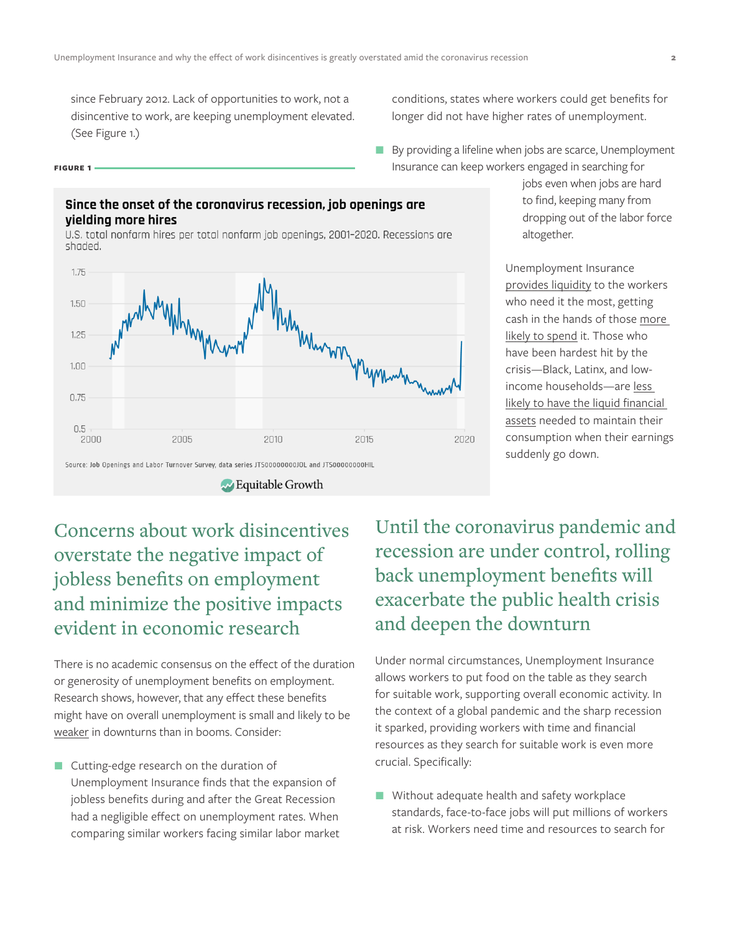since February 2012. Lack of opportunities to work, not a disincentive to work, are keeping unemployment elevated. (See Figure 1.)

#### **Figure 1**

### Since the onset of the coronavirus recession, job openings are vielding more hires

U.S. total nonfarm hires per total nonfarm job openings, 2001-2020. Recessions are shaded.



conditions, states where workers could get benefits for longer did not have higher rates of unemployment.

By providing a lifeline when jobs are scarce, Unemployment Insurance can keep workers engaged in searching for

> jobs even when jobs are hard to find, keeping many from dropping out of the labor force altogether.

Unemployment Insurance [provides liquidity](https://dash.harvard.edu/bitstream/handle/1/9751256/Chetty_MoralHazard.pdf) to the workers who need it the most, getting cash in the hands of those [more](https://equitablegrowth.org/the-most-exposed-workers-in-the-coronavirus-recession-are-also-key-consumers-making-sure-they-get-help-is-key-to-fighting-the-recession/)  [likely to spend](https://equitablegrowth.org/the-most-exposed-workers-in-the-coronavirus-recession-are-also-key-consumers-making-sure-they-get-help-is-key-to-fighting-the-recession/) it. Those who have been hardest hit by the crisis—Black, Latinx, and lowincome households—are [less](http://home.uchicago.edu/~j1s/RDFO_4_2020.pdf)  [likely to have the liquid financial](http://home.uchicago.edu/~j1s/RDFO_4_2020.pdf)  [assets](http://home.uchicago.edu/~j1s/RDFO_4_2020.pdf) needed to maintain their consumption when their earnings suddenly go down.

## Concerns about work disincentives overstate the negative impact of jobless benefits on employment and minimize the positive impacts evident in economic research

There is no academic consensus on the effect of the duration or generosity of unemployment benefits on employment. Research shows, however, that any effect these benefits might have on overall unemployment is small and likely to be [weaker](https://www.nber.org/papers/w17813) in downturns than in booms. Consider:

**Cutting-edge research on the duration of** Unemployment Insurance finds that the expansion of jobless benefits during and after the Great Recession had a negligible effect on unemployment rates. When comparing similar workers facing similar labor market Until the coronavirus pandemic and recession are under control, rolling back unemployment benefits will exacerbate the public health crisis and deepen the downturn

Under normal circumstances, Unemployment Insurance allows workers to put food on the table as they search for suitable work, supporting overall economic activity. In the context of a global pandemic and the sharp recession it sparked, providing workers with time and financial resources as they search for suitable work is even more crucial. Specifically:

Without adequate health and safety workplace standards, face-to-face jobs will put millions of workers at risk. Workers need time and resources to search for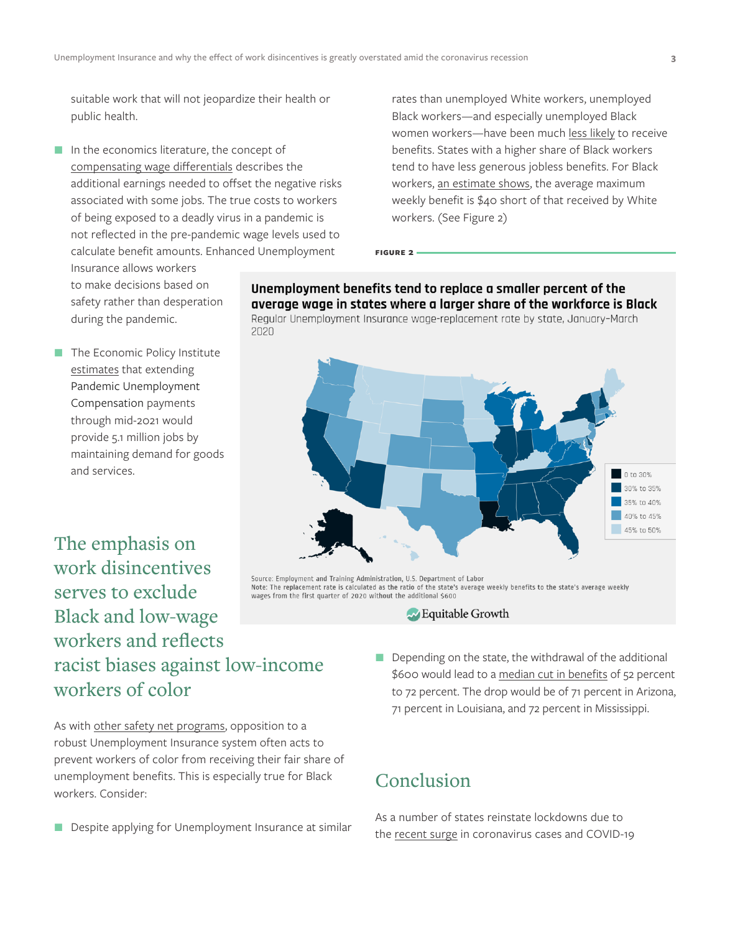suitable work that will not jeopardize their health or public health.

In the economics literature, the concept of [compensating wage differentials](https://www.journals.uchicago.edu/doi/abs/10.1086/261149?journalCode=jpe) describes the additional earnings needed to offset the negative risks associated with some jobs. The true costs to workers of being exposed to a deadly virus in a pandemic is not reflected in the pre-pandemic wage levels used to calculate benefit amounts. Enhanced Unemployment Insurance allows workers

rates than unemployed White workers, unemployed Black workers—and especially unemployed Black women workers—have been much [less likely](https://www.congress.gov/116/meeting/house/110811/witnesses/HHRG-116-VC00-Wstate-SpriggsW-20200618.pdf) to receive benefits. States with a higher share of Black workers tend to have less generous jobless benefits. For Black workers, [an estimate shows](https://www.rand.org/blog/2020/07/the-racial-disparity-in-unemployment-benefits.html), the average maximum weekly benefit is \$40 short of that received by White workers. (See Figure 2)

to make decisions based on safety rather than desperation during the pandemic.

 $\blacksquare$  The Economic Policy Institute [estimates](https://www.epi.org/blog/cutting-off-the-600-boost-to-unemployment-benefits-would-be-both-cruel-and-bad-economics-new-personal-income-data-show-just-how-steep-the-coming-fiscal-cliff-will-be/) that extending Pandemic Unemployment Compensation payments through mid-2021 would provide 5.1 million jobs by maintaining demand for goods and services.

The emphasis on work disincentives serves to exclude Black and low-wage workers and reflects racist biases against low-income workers of color

As with [other safety net programs,](https://cssp.org/wp-content/uploads/2020/02/Racist-Roots-of-Work-Requirements-CSSP-1.pdf) opposition to a robust Unemployment Insurance system often acts to prevent workers of color from receiving their fair share of unemployment benefits. This is especially true for Black workers. Consider:

Despite applying for Unemployment Insurance at similar

Unemployment benefits tend to replace a smaller percent of the average wage in states where a larger share of the workforce is Black Regular Unemployment Insurance wage-replacement rate by state, January-March 2020

**Figure 2** 



.<br>Source: Employment and Training Administration, U.S. Department of Labor Note: The replacement rate is calculated as the ratio of the state's average weekly benefits to the state's average weekly wages from the first quarter of 2020 without the additional \$600

- Equitable Growth
- Depending on the state, the withdrawal of the additional \$600 would lead to a [median cut in benefits](https://money.yahoo.com/jobless-americans-could-see-their-income-drop-by-half-or-more-if-unemployment-aid-expires-144023368.html?guccounter=1&guce_referrer=aHR0cHM6Ly90LmNvL2tTS2lxTVZld2U_YW1wPTE&guce_referrer_sig=AQAAAMdQzOsyVv7W_Ibn30ORZVGwE02CTgPn9-O_imfn0QGPXOpa5ilpnYkNXaYA3mBB3KHOZUrsZ4fht1PqC1ZBJ2Q_wjIlJ29bItRz8ipedCwqC7_PV-QfzRmO67HW3pOd7S3ZJLgAr2JsROOrRtWPkld4SzOfMxu_ZkH86NCkHnrC) of 52 percent to 72 percent. The drop would be of 71 percent in Arizona, 71 percent in Louisiana, and 72 percent in Mississippi.

## Conclusion

As a number of states reinstate lockdowns due to the [recent surge](https://www.wsj.com/articles/coronavirus-latest-updates-071420-11594716924) in coronavirus cases and COVID-19